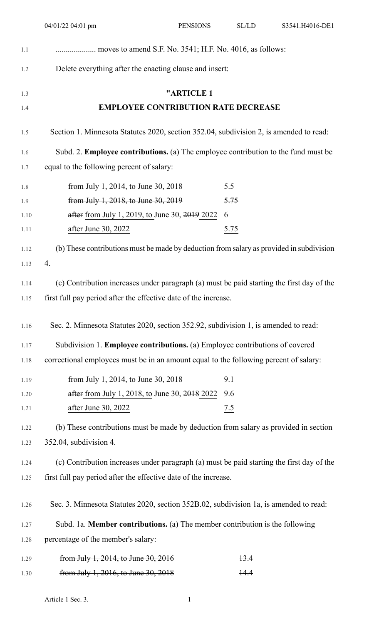|      | 04/01/22 04:01 pm                                                                         | <b>PENSIONS</b> | SL/LD | S3541.H4016-DE1 |
|------|-------------------------------------------------------------------------------------------|-----------------|-------|-----------------|
| 1.1  |                                                                                           |                 |       |                 |
| 1.2  | Delete everything after the enacting clause and insert:                                   |                 |       |                 |
| 1.3  |                                                                                           | "ARTICLE 1      |       |                 |
| 1.4  | <b>EMPLOYEE CONTRIBUTION RATE DECREASE</b>                                                |                 |       |                 |
| 1.5  | Section 1. Minnesota Statutes 2020, section 352.04, subdivision 2, is amended to read:    |                 |       |                 |
| 1.6  | Subd. 2. <b>Employee contributions.</b> (a) The employee contribution to the fund must be |                 |       |                 |
| 1.7  | equal to the following percent of salary:                                                 |                 |       |                 |
| 1.8  | from July 1, 2014, to June 30, 2018                                                       |                 | 5.5   |                 |
| 1.9  | from July 1, 2018, to June 30, 2019                                                       |                 | 5.75  |                 |
| 1.10 | after from July 1, 2019, to June 30, 2019 2022                                            |                 | 6     |                 |
| 1.11 | after June 30, 2022                                                                       |                 | 5.75  |                 |
| 1.12 | (b) These contributions must be made by deduction from salary as provided in subdivision  |                 |       |                 |
| 1.13 | 4.                                                                                        |                 |       |                 |
| 1.14 | (c) Contribution increases under paragraph (a) must be paid starting the first day of the |                 |       |                 |
| 1.15 | first full pay period after the effective date of the increase.                           |                 |       |                 |
| 1.16 | Sec. 2. Minnesota Statutes 2020, section 352.92, subdivision 1, is amended to read:       |                 |       |                 |
| 1.17 | Subdivision 1. Employee contributions. (a) Employee contributions of covered              |                 |       |                 |
| 1.18 | correctional employees must be in an amount equal to the following percent of salary:     |                 |       |                 |
| 1.19 | from July 1, 2014, to June 30, 2018                                                       |                 | $9+$  |                 |
| 1.20 | after from July 1, 2018, to June 30, 2018 2022                                            |                 | 9.6   |                 |
| 1.21 | after June 30, 2022                                                                       |                 | 7.5   |                 |
| 1.22 | (b) These contributions must be made by deduction from salary as provided in section      |                 |       |                 |
| 1.23 | 352.04, subdivision 4.                                                                    |                 |       |                 |
| 1.24 | (c) Contribution increases under paragraph (a) must be paid starting the first day of the |                 |       |                 |
| 1.25 | first full pay period after the effective date of the increase.                           |                 |       |                 |
| 1.26 | Sec. 3. Minnesota Statutes 2020, section 352B.02, subdivision 1a, is amended to read:     |                 |       |                 |
| 1.27 | Subd. 1a. Member contributions. (a) The member contribution is the following              |                 |       |                 |
| 1.28 | percentage of the member's salary:                                                        |                 |       |                 |

| 1.29 | from July 1, 2014, to June 30, 2016 | 13.4 |
|------|-------------------------------------|------|
| 1.30 | from July 1, 2016, to June 30, 2018 | 14.4 |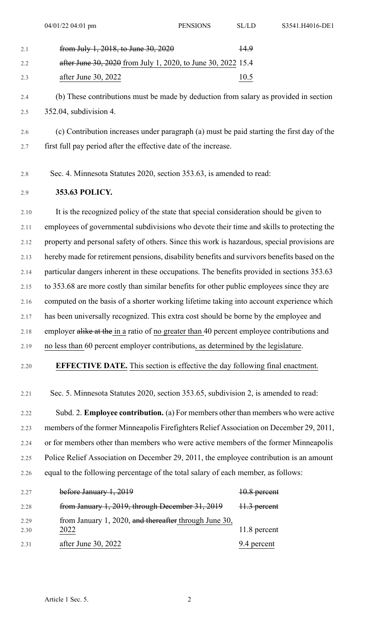2.4 (b) These contributions must be made by deduction from salary as provided in section 2.5 352.04, subdivision 4.

2.6 (c) Contribution increases under paragraph (a) must be paid starting the first day of the 2.7 first full pay period after the effective date of the increase.

2.8 Sec. 4. Minnesota Statutes 2020, section 353.63, is amended to read:

## 2.9 **353.63 POLICY.**

2.10 It is the recognized policy of the state that special consideration should be given to 2.11 employees of governmental subdivisions who devote their time and skills to protecting the 2.12 property and personal safety of others. Since this work is hazardous, special provisions are 2.13 hereby made for retirement pensions, disability benefits and survivors benefits based on the 2.14 particular dangers inherent in these occupations. The benefits provided in sections 353.63 2.15 to 353.68 are more costly than similar benefits for other public employees since they are 2.16 computed on the basis of a shorter working lifetime taking into account experience which 2.17 has been universally recognized. This extra cost should be borne by the employee and 2.18 employer alike at the in a ratio of no greater than 40 percent employee contributions and 2.19 no less than 60 percent employer contributions, as determined by the legislature.

## 2.20 **EFFECTIVE DATE.** This section is effective the day following final enactment.

2.21 Sec. 5. Minnesota Statutes 2020, section 353.65, subdivision 2, is amended to read:

2.22 Subd. 2. **Employee contribution.** (a) For members other than members who were active 2.23 members of the former Minneapolis Firefighters Relief Association on December 29, 2011, 2.24 or for members other than members who were active members of the former Minneapolis 2.25 Police Relief Association on December 29, 2011, the employee contribution is an amount 2.26 equal to the following percentage of the total salary of each member, as follows:

| 2.27         | before January 1, 2019                                        | 10.8 percent |
|--------------|---------------------------------------------------------------|--------------|
| 2.28         | from January 1, 2019, through December 31, 2019               | 11.3 percent |
| 2.29<br>2.30 | from January 1, 2020, and thereafter through June 30,<br>2022 | 11.8 percent |
| 2.31         | after June 30, 2022                                           | 9.4 percent  |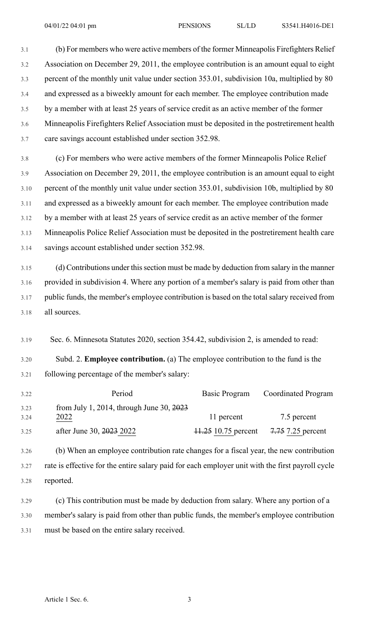3.1 (b) For members who were active members of the former Minneapolis Firefighters Relief 3.2 Association on December 29, 2011, the employee contribution is an amount equal to eight 3.3 percent of the monthly unit value under section 353.01, subdivision 10a, multiplied by 80 3.4 and expressed as a biweekly amount for each member. The employee contribution made 3.5 by a member with at least 25 years of service credit as an active member of the former 3.6 Minneapolis Firefighters Relief Association must be deposited in the postretirement health 3.7 care savings account established under section 352.98.

3.8 (c) For members who were active members of the former Minneapolis Police Relief 3.9 Association on December 29, 2011, the employee contribution is an amount equal to eight 3.10 percent of the monthly unit value under section 353.01, subdivision 10b, multiplied by 80 3.11 and expressed as a biweekly amount for each member. The employee contribution made 3.12 by a member with at least 25 years of service credit as an active member of the former 3.13 Minneapolis Police Relief Association must be deposited in the postretirement health care 3.14 savings account established under section 352.98.

3.15 (d) Contributions under this section must be made by deduction from salary in the manner 3.16 provided in subdivision 4. Where any portion of a member's salary is paid from other than 3.17 public funds, the member's employee contribution is based on the total salary received from 3.18 all sources.

3.19 Sec. 6. Minnesota Statutes 2020, section 354.42, subdivision 2, is amended to read:

3.20 Subd. 2. **Employee contribution.** (a) The employee contribution to the fund is the 3.21 following percentage of the member's salary:

| 3.22 | Period                                               | Basic Program       | <b>Coordinated Program</b> |
|------|------------------------------------------------------|---------------------|----------------------------|
| 3.23 | from July 1, 2014, through June 30, $\frac{2023}{ }$ |                     |                            |
| 3.24 | 2022                                                 | 11 percent          | 7.5 percent                |
| 3.25 | after June 30, 2023 2022                             | 11.25 10.75 percent | 7.75 7.25 percent          |

3.26 (b) When an employee contribution rate changes for a fiscal year, the new contribution 3.27 rate is effective for the entire salary paid for each employer unit with the first payroll cycle 3.28 reported.

3.29 (c) This contribution must be made by deduction from salary. Where any portion of a 3.30 member's salary is paid from other than public funds, the member's employee contribution 3.31 must be based on the entire salary received.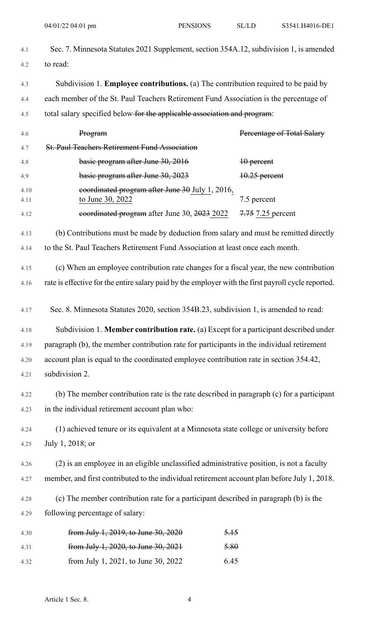| 4.1          | Sec. 7. Minnesota Statutes 2021 Supplement, section 354A.12, subdivision 1, is amended              |                            |  |
|--------------|-----------------------------------------------------------------------------------------------------|----------------------------|--|
| 4.2          | to read:                                                                                            |                            |  |
| 4.3          | Subdivision 1. Employee contributions. (a) The contribution required to be paid by                  |                            |  |
| 4.4          | each member of the St. Paul Teachers Retirement Fund Association is the percentage of               |                            |  |
| 4.5          | total salary specified below for the applicable association and program:                            |                            |  |
| 4.6          | Program                                                                                             | Percentage of Total Salary |  |
| 4.7          | <b>St. Paul Teachers Retirement Fund Association</b>                                                |                            |  |
| 4.8          | basic program after June 30, 2016                                                                   | $10$ percent               |  |
| 4.9          | basic program after June 30, 2023                                                                   | 10.25 percent              |  |
| 4.10<br>4.11 | coordinated program after June 30 July 1, 2016,<br>to June 30, 2022                                 | 7.5 percent                |  |
| 4.12         | coordinated program after June 30, 2023 2022                                                        | 7.75 7.25 percent          |  |
| 4.13         | (b) Contributions must be made by deduction from salary and must be remitted directly               |                            |  |
| 4.14         | to the St. Paul Teachers Retirement Fund Association at least once each month.                      |                            |  |
| 4.15         | (c) When an employee contribution rate changes for a fiscal year, the new contribution              |                            |  |
| 4.16         | rate is effective for the entire salary paid by the employer with the first payroll cycle reported. |                            |  |
|              |                                                                                                     |                            |  |
| 4.17         | Sec. 8. Minnesota Statutes 2020, section 354B.23, subdivision 1, is amended to read:                |                            |  |
| 4.18         | Subdivision 1. Member contribution rate. (a) Except for a participant described under               |                            |  |
| 4.19         | paragraph (b), the member contribution rate for participants in the individual retirement           |                            |  |
| 4.20         | account plan is equal to the coordinated employee contribution rate in section 354.42,              |                            |  |
| 4.21         | subdivision 2.                                                                                      |                            |  |
| 4.22         | (b) The member contribution rate is the rate described in paragraph (c) for a participant           |                            |  |
| 4.23         | in the individual retirement account plan who:                                                      |                            |  |
| 4.24         | (1) achieved tenure or its equivalent at a Minnesota state college or university before             |                            |  |
| 4.25         | July 1, 2018; or                                                                                    |                            |  |
| 4.26         | (2) is an employee in an eligible unclassified administrative position, is not a faculty            |                            |  |
| 4.27         | member, and first contributed to the individual retirement account plan before July 1, 2018.        |                            |  |
| 4.28         | (c) The member contribution rate for a participant described in paragraph (b) is the                |                            |  |
| 4.29         | following percentage of salary:                                                                     |                            |  |
| 4.30         | from July 1, 2019, to June 30, 2020<br>5.15                                                         |                            |  |
| 4.31         | from July 1, 2020, to June 30, 2021<br>5.80                                                         |                            |  |
| 4.32         | 6.45<br>from July 1, 2021, to June 30, 2022                                                         |                            |  |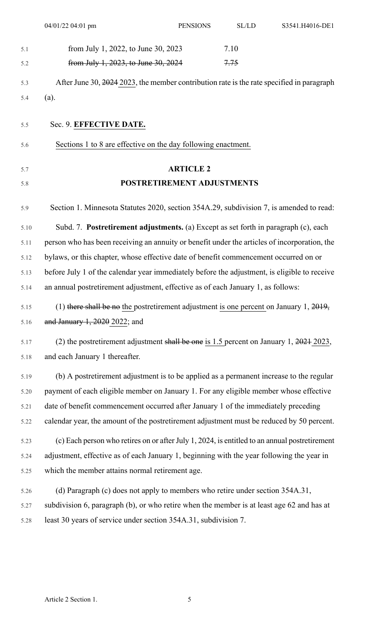|      | 04/01/22 04:01 pm                                                                             | <b>PENSIONS</b>  | $\rm SL/LD$ | S3541.H4016-DE1 |
|------|-----------------------------------------------------------------------------------------------|------------------|-------------|-----------------|
| 5.1  | from July 1, 2022, to June 30, 2023                                                           |                  | 7.10        |                 |
| 5.2  | from July 1, 2023, to June 30, 2024                                                           |                  | 7.75        |                 |
| 5.3  | After June 30, 2024 2023, the member contribution rate is the rate specified in paragraph     |                  |             |                 |
| 5.4  | (a).                                                                                          |                  |             |                 |
|      |                                                                                               |                  |             |                 |
| 5.5  | Sec. 9. EFFECTIVE DATE.                                                                       |                  |             |                 |
| 5.6  | Sections 1 to 8 are effective on the day following enactment.                                 |                  |             |                 |
| 5.7  |                                                                                               | <b>ARTICLE 2</b> |             |                 |
| 5.8  | POSTRETIREMENT ADJUSTMENTS                                                                    |                  |             |                 |
|      |                                                                                               |                  |             |                 |
| 5.9  | Section 1. Minnesota Statutes 2020, section 354A.29, subdivision 7, is amended to read:       |                  |             |                 |
| 5.10 | Subd. 7. Postretirement adjustments. (a) Except as set forth in paragraph (c), each           |                  |             |                 |
| 5.11 | person who has been receiving an annuity or benefit under the articles of incorporation, the  |                  |             |                 |
| 5.12 | bylaws, or this chapter, whose effective date of benefit commencement occurred on or          |                  |             |                 |
| 5.13 | before July 1 of the calendar year immediately before the adjustment, is eligible to receive  |                  |             |                 |
| 5.14 | an annual postretirement adjustment, effective as of each January 1, as follows:              |                  |             |                 |
| 5.15 | (1) there shall be no the postretirement adjustment is one percent on January 1, $2019$ ,     |                  |             |                 |
| 5.16 | and January 1, 2020 2022; and                                                                 |                  |             |                 |
| 5.17 | (2) the postretirement adjustment shall be one is 1.5 percent on January 1, 2021 2023,        |                  |             |                 |
| 5.18 | and each January 1 thereafter.                                                                |                  |             |                 |
| 5.19 | (b) A postretirement adjustment is to be applied as a permanent increase to the regular       |                  |             |                 |
| 5.20 | payment of each eligible member on January 1. For any eligible member whose effective         |                  |             |                 |
| 5.21 | date of benefit commencement occurred after January 1 of the immediately preceding            |                  |             |                 |
| 5.22 | calendar year, the amount of the postretirement adjustment must be reduced by 50 percent.     |                  |             |                 |
| 5.23 | (c) Each person who retires on or after July 1, 2024, is entitled to an annual postretirement |                  |             |                 |
| 5.24 | adjustment, effective as of each January 1, beginning with the year following the year in     |                  |             |                 |
| 5.25 | which the member attains normal retirement age.                                               |                  |             |                 |
| 5.26 | (d) Paragraph (c) does not apply to members who retire under section 354A.31,                 |                  |             |                 |
| 5.27 | subdivision 6, paragraph (b), or who retire when the member is at least age 62 and has at     |                  |             |                 |
| 5.28 | least 30 years of service under section 354A.31, subdivision 7.                               |                  |             |                 |
|      |                                                                                               |                  |             |                 |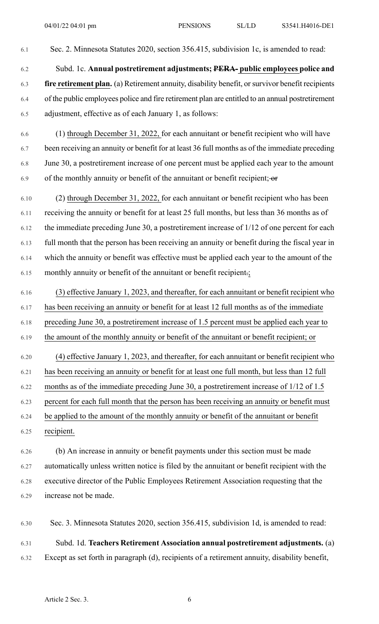- 6.1 Sec. 2. Minnesota Statutes 2020, section 356.415, subdivision 1c, is amended to read: 6.2 Subd. 1c. **Annual postretirement adjustments; PERA- public employees police and** 6.3 **fire retirement plan.** (a) Retirement annuity, disability benefit, orsurvivor benefit recipients 6.4 of the public employees police and fire retirement plan are entitled to an annual postretirement 6.5 adjustment, effective as of each January 1, as follows:
- 6.6 (1) through December 31, 2022, for each annuitant or benefit recipient who will have 6.7 been receiving an annuity or benefit for at least 36 full months as of the immediate preceding 6.8 June 30, a postretirement increase of one percent must be applied each year to the amount 6.9 of the monthly annuity or benefit of the annuitant or benefit recipient;  $-$ or
- 6.10 (2) through December 31, 2022, for each annuitant or benefit recipient who has been 6.11 receiving the annuity or benefit for at least 25 full months, but less than 36 months as of 6.12 the immediate preceding June 30, a postretirement increase of 1/12 of one percent for each 6.13 full month that the person has been receiving an annuity or benefit during the fiscal year in 6.14 which the annuity or benefit was effective must be applied each year to the amount of the 6.15 monthly annuity or benefit of the annuitant or benefit recipient.;
- 6.16 (3) effective January 1, 2023, and thereafter, for each annuitant or benefit recipient who 6.17 has been receiving an annuity or benefit for at least 12 full months as of the immediate 6.18 preceding June 30, a postretirement increase of 1.5 percent must be applied each year to 6.19 the amount of the monthly annuity or benefit of the annuitant or benefit recipient; or 6.20 (4) effective January 1, 2023, and thereafter, for each annuitant or benefit recipient who 6.21 has been receiving an annuity or benefit for at least one full month, but less than 12 full 6.22 months as of the immediate preceding June 30, a postretirement increase of 1/12 of 1.5 6.23 percent for each full month that the person has been receiving an annuity or benefit must 6.24 be applied to the amount of the monthly annuity or benefit of the annuitant or benefit 6.25 recipient.
- 6.26 (b) An increase in annuity or benefit payments under this section must be made 6.27 automatically unless written notice is filed by the annuitant or benefit recipient with the 6.28 executive director of the Public Employees Retirement Association requesting that the 6.29 increase not be made.
- 6.30 Sec. 3. Minnesota Statutes 2020, section 356.415, subdivision 1d, is amended to read: 6.31 Subd. 1d. **Teachers Retirement Association annual postretirement adjustments.** (a) 6.32 Except as set forth in paragraph (d), recipients of a retirement annuity, disability benefit,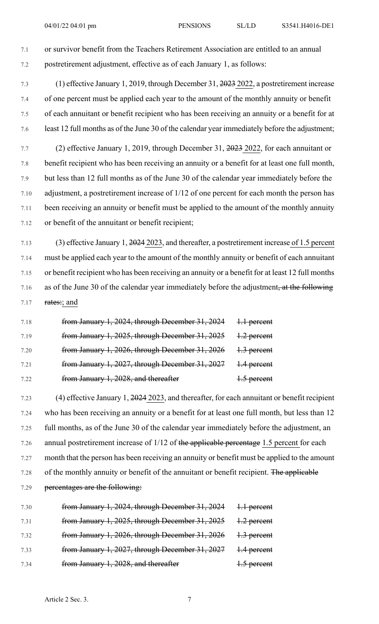7.1 or survivor benefit from the Teachers Retirement Association are entitled to an annual 7.2 postretirement adjustment, effective as of each January 1, as follows:

7.3 (1) effective January 1, 2019, through December 31, 2023 2022, a postretirement increase 7.4 of one percent must be applied each year to the amount of the monthly annuity or benefit 7.5 of each annuitant or benefit recipient who has been receiving an annuity or a benefit for at 7.6 least 12 full months as of the June 30 of the calendar year immediately before the adjustment;

7.7 (2) effective January 1, 2019, through December 31, 2023 2022, for each annuitant or 7.8 benefit recipient who has been receiving an annuity or a benefit for at least one full month, 7.9 but less than 12 full months as of the June 30 of the calendar year immediately before the 7.10 adjustment, a postretirement increase of 1/12 of one percent for each month the person has 7.11 been receiving an annuity or benefit must be applied to the amount of the monthly annuity 7.12 or benefit of the annuitant or benefit recipient;

7.13 (3) effective January 1, 2024 2023, and thereafter, a postretirement increase of 1.5 percent 7.14 must be applied each year to the amount of the monthly annuity or benefit of each annuitant 7.15 or benefit recipient who has been receiving an annuity or a benefit for at least 12 full months 7.16 as of the June 30 of the calendar year immediately before the adjustment, at the following 7.17  $\frac{rates}{;}$  and

| 7.18 | from January 1, 2024, through December 31, 2024 | 1.1 percent |
|------|-------------------------------------------------|-------------|
| 7.19 | from January 1, 2025, through December 31, 2025 | 1.2 percent |
| 7.20 | from January 1, 2026, through December 31, 2026 | 1.3 percent |
| 7.21 | from January 1, 2027, through December 31, 2027 | 1.4 percent |
| 7.22 | from January 1, 2028, and thereafter            | 1.5 percent |

7.23 (4) effective January 1, 2024 2023, and thereafter, for each annuitant or benefit recipient 7.24 who has been receiving an annuity or a benefit for at least one full month, but less than 12 7.25 full months, as of the June 30 of the calendar year immediately before the adjustment, an 7.26 annual postretirement increase of 1/12 of the applicable percentage 1.5 percent for each 7.27 month that the person has been receiving an annuity or benefit must be applied to the amount 7.28 of the monthly annuity or benefit of the annuitant or benefit recipient. The applicable 7.29 percentages are the following:

| 7.30 | from January 1, 2024, through December 31, 2024 | 1.1 percent |
|------|-------------------------------------------------|-------------|
| 7.31 | from January 1, 2025, through December 31, 2025 | 1.2 percent |
| 7.32 | from January 1, 2026, through December 31, 2026 | 1.3 percent |
| 7.33 | from January 1, 2027, through December 31, 2027 | 1.4 percent |
| 7.34 | from January 1, 2028, and thereafter            | 1.5 percent |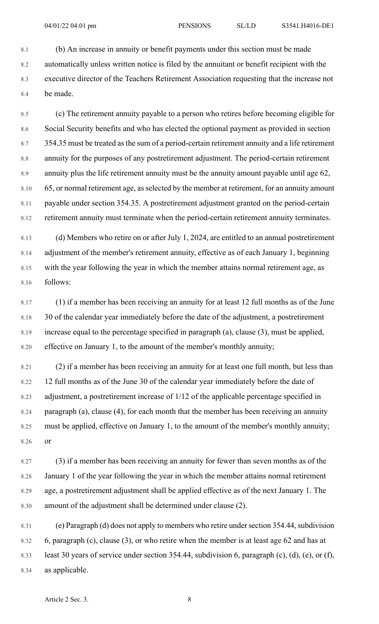8.1 (b) An increase in annuity or benefit payments under this section must be made 8.2 automatically unless written notice is filed by the annuitant or benefit recipient with the 8.3 executive director of the Teachers Retirement Association requesting that the increase not 8.4 be made.

8.5 (c) The retirement annuity payable to a person who retires before becoming eligible for 8.6 Social Security benefits and who has elected the optional payment as provided in section 8.7 354.35 must be treated asthe sum of a period-certain retirement annuity and a life retirement 8.8 annuity for the purposes of any postretirement adjustment. The period-certain retirement 8.9 annuity plus the life retirement annuity must be the annuity amount payable until age 62, 8.10 65, or normal retirement age, as selected by the member at retirement, for an annuity amount 8.11 payable under section 354.35. A postretirement adjustment granted on the period-certain 8.12 retirement annuity must terminate when the period-certain retirement annuity terminates.

8.13 (d) Members who retire on or after July 1, 2024, are entitled to an annual postretirement 8.14 adjustment of the member's retirement annuity, effective as of each January 1, beginning 8.15 with the year following the year in which the member attains normal retirement age, as 8.16 follows:

8.17 (1) if a member has been receiving an annuity for at least 12 full months as of the June 8.18 30 of the calendar year immediately before the date of the adjustment, a postretirement 8.19 increase equal to the percentage specified in paragraph (a), clause (3), must be applied, 8.20 effective on January 1, to the amount of the member's monthly annuity;

8.21 (2) if a member has been receiving an annuity for at least one full month, but less than 8.22 12 full months as of the June 30 of the calendar year immediately before the date of 8.23 adjustment, a postretirement increase of 1/12 of the applicable percentage specified in 8.24 paragraph (a), clause (4), for each month that the member has been receiving an annuity 8.25 must be applied, effective on January 1, to the amount of the member's monthly annuity; 8.26 or

8.27 (3) if a member has been receiving an annuity for fewer than seven months as of the 8.28 January 1 of the year following the year in which the member attains normal retirement 8.29 age, a postretirement adjustment shall be applied effective as of the next January 1. The 8.30 amount of the adjustment shall be determined under clause (2).

8.31 (e) Paragraph (d) does not apply to members who retire under section 354.44, subdivision 8.32 6, paragraph (c), clause (3), or who retire when the member is at least age 62 and has at 8.33 least 30 years of service under section 354.44, subdivision 6, paragraph (c), (d), (e), or (f), 8.34 as applicable.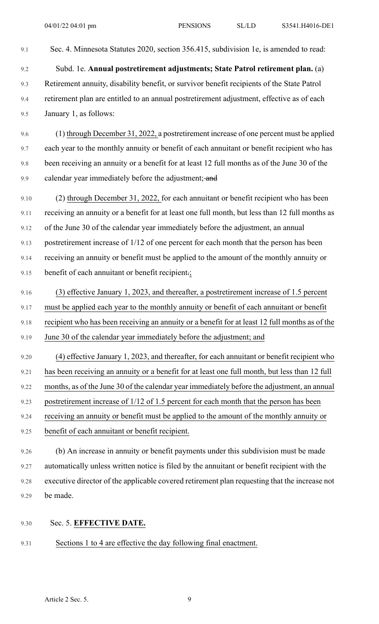- 9.1 Sec. 4. Minnesota Statutes 2020, section 356.415, subdivision 1e, is amended to read: 9.2 Subd. 1e. **Annual postretirement adjustments; State Patrol retirement plan.** (a) 9.3 Retirement annuity, disability benefit, or survivor benefit recipients of the State Patrol
- 9.4 retirement plan are entitled to an annual postretirement adjustment, effective as of each 9.5 January 1, as follows:
- 9.6 (1) through December 31, 2022, a postretirement increase of one percent must be applied 9.7 each year to the monthly annuity or benefit of each annuitant or benefit recipient who has 9.8 been receiving an annuity or a benefit for at least 12 full months as of the June 30 of the 9.9 calendar year immediately before the adjustment; and
- 9.10 (2) through December 31, 2022, for each annuitant or benefit recipient who has been 9.11 receiving an annuity or a benefit for at least one full month, but less than 12 full months as 9.12 of the June 30 of the calendar year immediately before the adjustment, an annual 9.13 postretirement increase of 1/12 of one percent for each month that the person has been 9.14 receiving an annuity or benefit must be applied to the amount of the monthly annuity or 9.15 benefit of each annuitant or benefit recipient.;
- 9.16 (3) effective January 1, 2023, and thereafter, a postretirement increase of 1.5 percent
- 9.17 must be applied each year to the monthly annuity or benefit of each annuitant or benefit
- 9.18 recipient who has been receiving an annuity or a benefit for at least 12 full months as of the
- 9.19 June 30 of the calendar year immediately before the adjustment; and
- 9.20 (4) effective January 1, 2023, and thereafter, for each annuitant or benefit recipient who 9.21 has been receiving an annuity or a benefit for at least one full month, but less than 12 full 9.22 months, as of the June 30 of the calendar year immediately before the adjustment, an annual 9.23 postretirement increase of 1/12 of 1.5 percent for each month that the person has been
- 9.24 receiving an annuity or benefit must be applied to the amount of the monthly annuity or
- 9.25 benefit of each annuitant or benefit recipient.
- 9.26 (b) An increase in annuity or benefit payments under this subdivision must be made 9.27 automatically unless written notice is filed by the annuitant or benefit recipient with the 9.28 executive director of the applicable covered retirement plan requesting that the increase not 9.29 be made.
- 9.30 Sec. 5. **EFFECTIVE DATE.**
- 9.31 Sections 1 to 4 are effective the day following final enactment.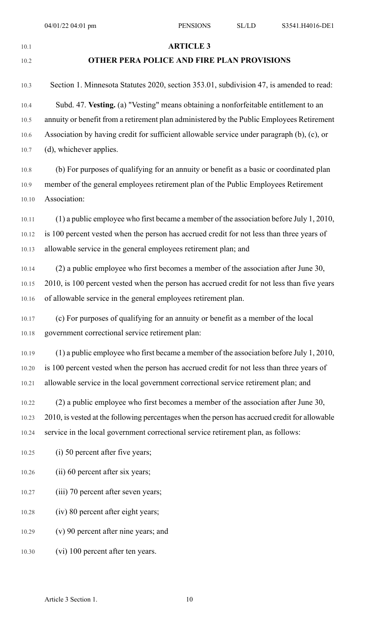# 10.1 **ARTICLE 3**

#### 10.2 **OTHER PERA POLICE AND FIRE PLAN PROVISIONS**

10.3 Section 1. Minnesota Statutes 2020, section 353.01, subdivision 47, is amended to read: 10.4 Subd. 47. **Vesting.** (a) "Vesting" means obtaining a nonforfeitable entitlement to an 10.5 annuity or benefit from a retirement plan administered by the Public Employees Retirement 10.6 Association by having credit for sufficient allowable service under paragraph (b), (c), or 10.7 (d), whichever applies.

10.8 (b) For purposes of qualifying for an annuity or benefit as a basic or coordinated plan 10.9 member of the general employees retirement plan of the Public Employees Retirement 10.10 Association:

10.11 (1) a public employee who first became a member of the association before July 1, 2010, 10.12 is 100 percent vested when the person has accrued credit for not less than three years of 10.13 allowable service in the general employees retirement plan; and

10.14 (2) a public employee who first becomes a member of the association after June 30, 10.15 2010, is 100 percent vested when the person has accrued credit for not less than five years 10.16 of allowable service in the general employees retirement plan.

10.17 (c) For purposes of qualifying for an annuity or benefit as a member of the local 10.18 government correctional service retirement plan:

10.19 (1) a public employee who first became a member of the association before July 1, 2010, 10.20 is 100 percent vested when the person has accrued credit for not less than three years of 10.21 allowable service in the local government correctional service retirement plan; and

10.22 (2) a public employee who first becomes a member of the association after June 30, 10.23 2010, is vested at the following percentages when the person has accrued credit for allowable 10.24 service in the local government correctional service retirement plan, as follows:

10.25 (i) 50 percent after five years;

10.26 (ii) 60 percent after six years;

10.27 (iii) 70 percent after seven years;

10.28 (iv) 80 percent after eight years;

10.29 (v) 90 percent after nine years; and

10.30 (vi) 100 percent after ten years.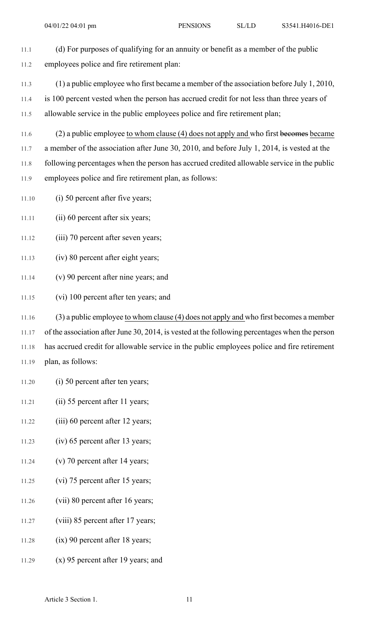- 11.1 (d) For purposes of qualifying for an annuity or benefit as a member of the public 11.2 employees police and fire retirement plan:
- 11.3 (1) a public employee who first became a member of the association before July 1, 2010,
- 11.4 is 100 percent vested when the person has accrued credit for not less than three years of 11.5 allowable service in the public employees police and fire retirement plan;
- 11.6 (2) a public employee to whom clause (4) does not apply and who first becomes became 11.7 a member of the association after June 30, 2010, and before July 1, 2014, is vested at the 11.8 following percentages when the person has accrued credited allowable service in the public 11.9 employees police and fire retirement plan, as follows:
- 11.10 (i) 50 percent after five years;

11.11 (ii) 60 percent after six years;

- 11.12 (iii) 70 percent after seven years;
- 11.13 (iv) 80 percent after eight years;
- 11.14 (v) 90 percent after nine years; and
- 11.15 (vi) 100 percent after ten years; and
- 11.16 (3) a public employee to whom clause (4) does not apply and who first becomes a member 11.17 of the association after June 30, 2014, is vested at the following percentages when the person 11.18 has accrued credit for allowable service in the public employees police and fire retirement 11.19 plan, as follows:
- 11.20 (i) 50 percent after ten years;
- 11.21 (ii) 55 percent after 11 years;
- 11.22 (iii) 60 percent after 12 years;
- 11.23 (iv) 65 percent after 13 years;
- 11.24 (v) 70 percent after 14 years;
- 11.25 (vi) 75 percent after 15 years;
- 11.26 (vii) 80 percent after 16 years;
- 11.27 (viii) 85 percent after 17 years;
- 11.28 (ix) 90 percent after 18 years;
- 11.29 (x) 95 percent after 19 years; and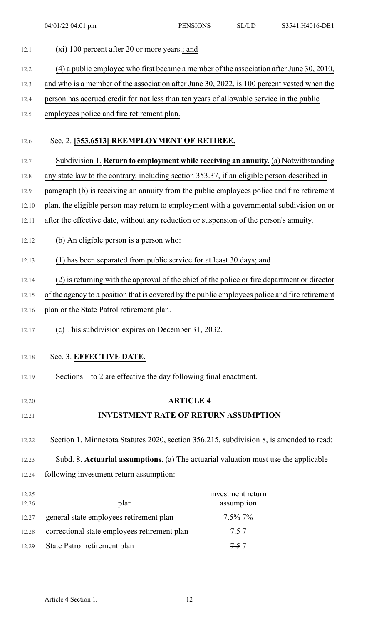| 12.1  | (xi) 100 percent after 20 or more years -; and                                                 |                    |
|-------|------------------------------------------------------------------------------------------------|--------------------|
| 12.2  | $(4)$ a public employee who first became a member of the association after June 30, 2010,      |                    |
| 12.3  | and who is a member of the association after June 30, 2022, is 100 percent vested when the     |                    |
| 12.4  | person has accrued credit for not less than ten years of allowable service in the public       |                    |
| 12.5  | employees police and fire retirement plan.                                                     |                    |
|       |                                                                                                |                    |
| 12.6  | Sec. 2. [353.6513] REEMPLOYMENT OF RETIREE.                                                    |                    |
| 12.7  | Subdivision 1. Return to employment while receiving an annuity. (a) Notwithstanding            |                    |
| 12.8  | any state law to the contrary, including section 353.37, if an eligible person described in    |                    |
| 12.9  | paragraph (b) is receiving an annuity from the public employees police and fire retirement     |                    |
| 12.10 | plan, the eligible person may return to employment with a governmental subdivision on or       |                    |
| 12.11 | after the effective date, without any reduction or suspension of the person's annuity.         |                    |
| 12.12 | (b) An eligible person is a person who:                                                        |                    |
| 12.13 | (1) has been separated from public service for at least 30 days; and                           |                    |
| 12.14 | (2) is returning with the approval of the chief of the police or fire department or director   |                    |
| 12.15 | of the agency to a position that is covered by the public employees police and fire retirement |                    |
| 12.16 | plan or the State Patrol retirement plan.                                                      |                    |
| 12.17 | (c) This subdivision expires on December 31, 2032.                                             |                    |
| 12.18 | Sec. 3. EFFECTIVE DATE.                                                                        |                    |
| 12.19 | Sections 1 to 2 are effective the day following final enactment.                               |                    |
|       |                                                                                                |                    |
| 12.20 | <b>ARTICLE 4</b>                                                                               |                    |
| 12.21 | <b>INVESTMENT RATE OF RETURN ASSUMPTION</b>                                                    |                    |
| 12.22 | Section 1. Minnesota Statutes 2020, section 356.215, subdivision 8, is amended to read:        |                    |
| 12.23 | Subd. 8. Actuarial assumptions. (a) The actuarial valuation must use the applicable            |                    |
| 12.24 | following investment return assumption:                                                        |                    |
| 12.25 |                                                                                                | investment return  |
| 12.26 | plan                                                                                           | assumption         |
| 12.27 | general state employees retirement plan                                                        | <del>7.5%</del> 7% |
| 12.28 | correctional state employees retirement plan                                                   | 7.5 7              |
| 12.29 | State Patrol retirement plan                                                                   | 7.57               |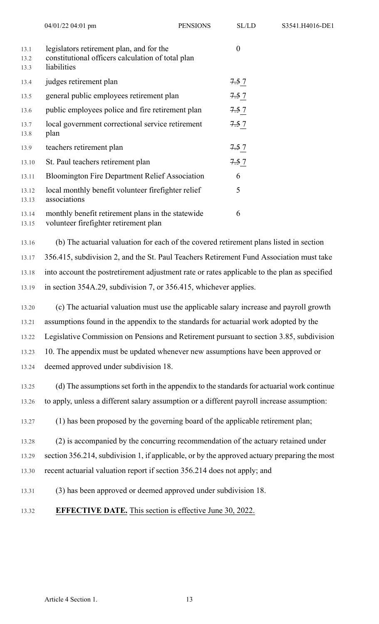|                      | 04/01/22 04:01 pm                                                                                            | <b>PENSIONS</b> | SL/LD    |
|----------------------|--------------------------------------------------------------------------------------------------------------|-----------------|----------|
| 13.1<br>13.2<br>13.3 | legislators retirement plan, and for the<br>constitutional officers calculation of total plan<br>liabilities |                 | $\theta$ |
| 13.4                 | judges retirement plan                                                                                       |                 | 7.5 7    |
| 13.5                 | general public employees retirement plan                                                                     |                 | 7.57     |
| 13.6                 | public employees police and fire retirement plan                                                             |                 | 7.57     |
| 13.7<br>13.8         | local government correctional service retirement<br>plan                                                     |                 | 7.5 7    |
| 13.9                 | teachers retirement plan                                                                                     |                 | 7.57     |
| 13.10                | St. Paul teachers retirement plan                                                                            |                 | 7.5 7    |
| 13.11                | <b>Bloomington Fire Department Relief Association</b>                                                        |                 | 6        |
| 13.12<br>13.13       | local monthly benefit volunteer firefighter relief<br>associations                                           |                 | 5        |
| 13.14<br>13.15       | monthly benefit retirement plans in the statewide<br>volunteer firefighter retirement plan                   |                 | 6        |

13.16 (b) The actuarial valuation for each of the covered retirement plans listed in section 13.17 356.415, subdivision 2, and the St. Paul Teachers Retirement Fund Association must take 13.18 into account the postretirement adjustment rate or rates applicable to the plan as specified 13.19 in section 354A.29, subdivision 7, or 356.415, whichever applies.

S3541.H4016-DE1

13.20 (c) The actuarial valuation must use the applicable salary increase and payroll growth 13.21 assumptions found in the appendix to the standards for actuarial work adopted by the 13.22 Legislative Commission on Pensions and Retirement pursuant to section 3.85, subdivision 13.23 10. The appendix must be updated whenever new assumptions have been approved or 13.24 deemed approved under subdivision 18.

13.25 (d) The assumptions set forth in the appendix to the standards for actuarial work continue 13.26 to apply, unless a different salary assumption or a different payroll increase assumption:

13.27 (1) has been proposed by the governing board of the applicable retirement plan;

13.28 (2) is accompanied by the concurring recommendation of the actuary retained under 13.29 section 356.214, subdivision 1, if applicable, or by the approved actuary preparing the most

- 13.30 recent actuarial valuation report if section 356.214 does not apply; and
- 13.31 (3) has been approved or deemed approved under subdivision 18.
- 13.32 **EFFECTIVE DATE.** This section is effective June 30, 2022.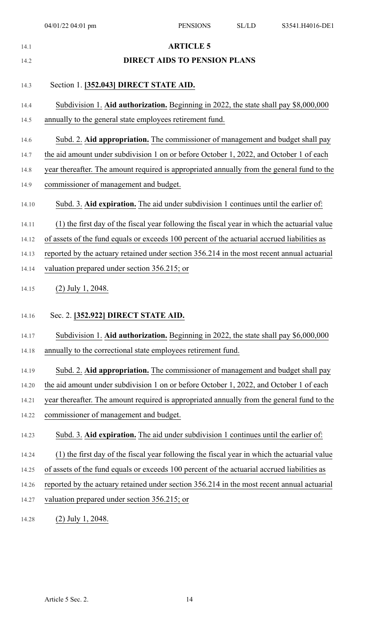| 14.1  | <b>ARTICLE 5</b>                                                                            |
|-------|---------------------------------------------------------------------------------------------|
| 14.2  | <b>DIRECT AIDS TO PENSION PLANS</b>                                                         |
| 14.3  | Section 1. [352.043] DIRECT STATE AID.                                                      |
| 14.4  | Subdivision 1. Aid authorization. Beginning in 2022, the state shall pay \$8,000,000        |
| 14.5  | annually to the general state employees retirement fund.                                    |
| 14.6  | Subd. 2. Aid appropriation. The commissioner of management and budget shall pay             |
| 14.7  | the aid amount under subdivision 1 on or before October 1, 2022, and October 1 of each      |
| 14.8  | year thereafter. The amount required is appropriated annually from the general fund to the  |
| 14.9  | commissioner of management and budget.                                                      |
| 14.10 | Subd. 3. Aid expiration. The aid under subdivision 1 continues until the earlier of:        |
| 14.11 | (1) the first day of the fiscal year following the fiscal year in which the actuarial value |
| 14.12 | of assets of the fund equals or exceeds 100 percent of the actuarial accrued liabilities as |
| 14.13 | reported by the actuary retained under section 356.214 in the most recent annual actuarial  |
| 14.14 | valuation prepared under section 356.215; or                                                |
| 14.15 | $(2)$ July 1, 2048.                                                                         |
| 14.16 | Sec. 2. [352.922] DIRECT STATE AID.                                                         |
| 14.17 | Subdivision 1. Aid authorization. Beginning in 2022, the state shall pay \$6,000,000        |
| 14.18 | annually to the correctional state employees retirement fund.                               |
| 14.19 | Subd. 2. Aid appropriation. The commissioner of management and budget shall pay             |
| 14.20 | the aid amount under subdivision 1 on or before October 1, 2022, and October 1 of each      |
| 14.21 | year thereafter. The amount required is appropriated annually from the general fund to the  |
| 14.22 | commissioner of management and budget.                                                      |
| 14.23 | Subd. 3. Aid expiration. The aid under subdivision 1 continues until the earlier of:        |
| 14.24 | (1) the first day of the fiscal year following the fiscal year in which the actuarial value |
| 14.25 | of assets of the fund equals or exceeds 100 percent of the actuarial accrued liabilities as |
| 14.26 | reported by the actuary retained under section 356.214 in the most recent annual actuarial  |
| 14.27 | valuation prepared under section 356.215; or                                                |
| 14.28 | $(2)$ July 1, 2048.                                                                         |
|       |                                                                                             |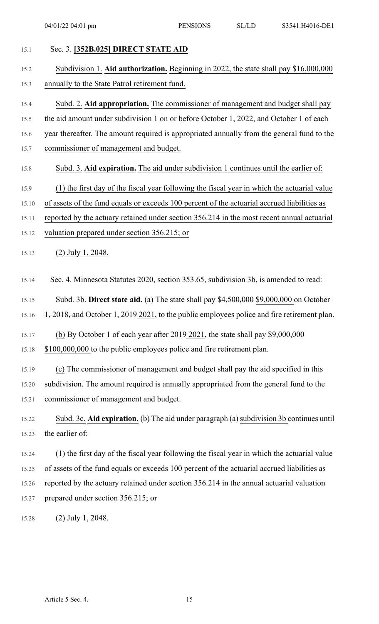| 15.1  | Sec. 3. [352B.025] DIRECT STATE AID                                                                                                    |
|-------|----------------------------------------------------------------------------------------------------------------------------------------|
| 15.2  | Subdivision 1. Aid authorization. Beginning in 2022, the state shall pay \$16,000,000                                                  |
| 15.3  | annually to the State Patrol retirement fund.                                                                                          |
| 15.4  | Subd. 2. Aid appropriation. The commissioner of management and budget shall pay                                                        |
| 15.5  | the aid amount under subdivision 1 on or before October 1, 2022, and October 1 of each                                                 |
| 15.6  | year thereafter. The amount required is appropriated annually from the general fund to the                                             |
| 15.7  | commissioner of management and budget.                                                                                                 |
| 15.8  | Subd. 3. Aid expiration. The aid under subdivision 1 continues until the earlier of:                                                   |
| 15.9  | (1) the first day of the fiscal year following the fiscal year in which the actuarial value                                            |
| 15.10 | of assets of the fund equals or exceeds 100 percent of the actuarial accrued liabilities as                                            |
| 15.11 | reported by the actuary retained under section 356.214 in the most recent annual actuarial                                             |
| 15.12 | valuation prepared under section 356.215; or                                                                                           |
| 15.13 | $(2)$ July 1, 2048.                                                                                                                    |
| 15.14 | Sec. 4. Minnesota Statutes 2020, section 353.65, subdivision 3b, is amended to read:                                                   |
| 15.15 | Subd. 3b. Direct state aid. (a) The state shall pay $$4,500,000$ \$9,000,000 on October                                                |
| 15.16 | 1, 2018, and October 1, 2019 2021, to the public employees police and fire retirement plan.                                            |
| 15.17 | (b) By October 1 of each year after $2019$ 2021, the state shall pay $$9,000,000$                                                      |
| 15.18 | \$100,000,000 to the public employees police and fire retirement plan.                                                                 |
| 15.19 | (c) The commissioner of management and budget shall pay the aid specified in this                                                      |
| 15.20 | subdivision. The amount required is annually appropriated from the general fund to the                                                 |
| 15.21 | commissioner of management and budget.                                                                                                 |
| 15.22 | Subd. 3c. Aid expiration. $\left(\frac{b}{c}\right)$ The aid under paragraph $\left(\frac{a}{c}\right)$ subdivision 3b continues until |
| 15.23 | the earlier of:                                                                                                                        |
| 15.24 | (1) the first day of the fiscal year following the fiscal year in which the actuarial value                                            |
| 15.25 | of assets of the fund equals or exceeds 100 percent of the actuarial accrued liabilities as                                            |
| 15.26 | reported by the actuary retained under section 356.214 in the annual actuarial valuation                                               |
| 15.27 | prepared under section 356.215; or                                                                                                     |
| 15.28 | (2) July 1, 2048.                                                                                                                      |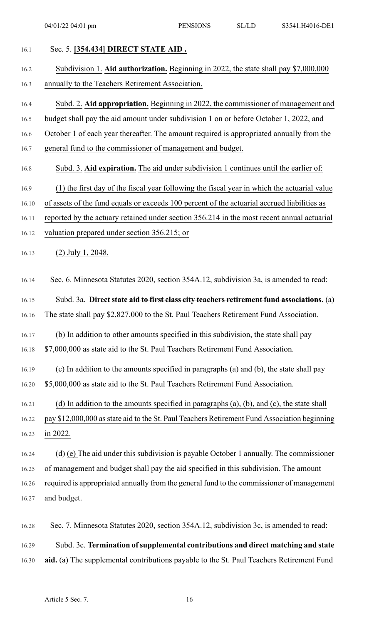| 16.1  | Sec. 5. [354.434] DIRECT STATE AID.                                                                           |
|-------|---------------------------------------------------------------------------------------------------------------|
| 16.2  | Subdivision 1. Aid authorization. Beginning in 2022, the state shall pay \$7,000,000                          |
| 16.3  | annually to the Teachers Retirement Association.                                                              |
| 16.4  | Subd. 2. Aid appropriation. Beginning in 2022, the commissioner of management and                             |
| 16.5  | budget shall pay the aid amount under subdivision 1 on or before October 1, 2022, and                         |
| 16.6  | October 1 of each year thereafter. The amount required is appropriated annually from the                      |
| 16.7  | general fund to the commissioner of management and budget.                                                    |
| 16.8  | Subd. 3. Aid expiration. The aid under subdivision 1 continues until the earlier of:                          |
| 16.9  | (1) the first day of the fiscal year following the fiscal year in which the actuarial value                   |
| 16.10 | of assets of the fund equals or exceeds 100 percent of the actuarial accrued liabilities as                   |
| 16.11 | reported by the actuary retained under section 356.214 in the most recent annual actuarial                    |
| 16.12 | valuation prepared under section 356.215; or                                                                  |
| 16.13 | $(2)$ July 1, 2048.                                                                                           |
| 16.14 | Sec. 6. Minnesota Statutes 2020, section 354A.12, subdivision 3a, is amended to read:                         |
| 16.15 | Subd. 3a. Direct state aid to first class city teachers retirement fund associations. (a)                     |
| 16.16 | The state shall pay \$2,827,000 to the St. Paul Teachers Retirement Fund Association.                         |
| 16.17 | (b) In addition to other amounts specified in this subdivision, the state shall pay                           |
| 16.18 | \$7,000,000 as state aid to the St. Paul Teachers Retirement Fund Association.                                |
| 16.19 | (c) In addition to the amounts specified in paragraphs (a) and (b), the state shall pay                       |
| 16.20 | \$5,000,000 as state aid to the St. Paul Teachers Retirement Fund Association.                                |
| 16.21 | (d) In addition to the amounts specified in paragraphs $(a)$ , $(b)$ , and $(c)$ , the state shall            |
| 16.22 | pay \$12,000,000 as state aid to the St. Paul Teachers Retirement Fund Association beginning                  |
| 16.23 | in 2022.                                                                                                      |
| 16.24 | $\left(\frac{d}{d}\right)$ (e) The aid under this subdivision is payable October 1 annually. The commissioner |
| 16.25 | of management and budget shall pay the aid specified in this subdivision. The amount                          |
| 16.26 | required is appropriated annually from the general fund to the commissioner of management                     |
| 16.27 | and budget.                                                                                                   |
| 16.28 | Sec. 7. Minnesota Statutes 2020, section 354A.12, subdivision 3c, is amended to read:                         |
| 16.29 | Subd. 3c. Termination of supplemental contributions and direct matching and state                             |
| 16.30 | aid. (a) The supplemental contributions payable to the St. Paul Teachers Retirement Fund                      |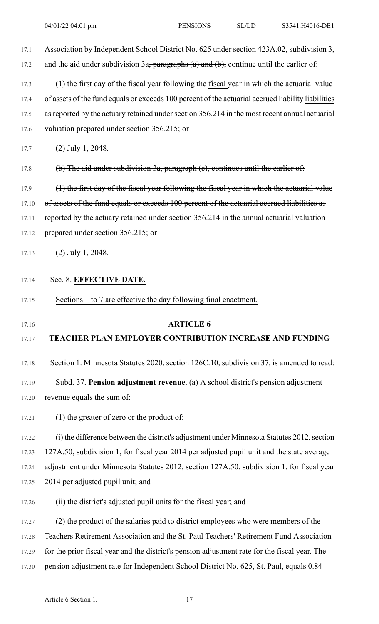17.1 Association by Independent School District No. 625 under section 423A.02, subdivision 3, 17.2 and the aid under subdivision  $3a$ , paragraphs (a) and (b), continue until the earlier of: 17.3 (1) the first day of the fiscal year following the fiscal year in which the actuarial value 17.4 of assets of the fund equals or exceeds 100 percent of the actuarial accrued liability liabilities 17.5 as reported by the actuary retained under section 356.214 in the most recent annual actuarial 17.6 valuation prepared under section 356.215; or 17.7 (2) July 1, 2048. 17.8 (b) The aid under subdivision 3a, paragraph (c), continues until the earlier of: 17.9 (1) the first day of the fiscal year following the fiscal year in which the actuarial value 17.10 of assets of the fund equals or exceeds 100 percent of the actuarial accrued liabilities as 17.11 reported by the actuary retained under section 356.214 in the annual actuarial valuation 17.12 prepared under section 356.215; or 17.13  $(2)$  July 1, 2048. 17.14 Sec. 8. **EFFECTIVE DATE.** 17.15 Sections 1 to 7 are effective the day following final enactment. 17.16 **ARTICLE 6** 17.17 **TEACHER PLAN EMPLOYER CONTRIBUTION INCREASE AND FUNDING** 17.18 Section 1. Minnesota Statutes 2020, section 126C.10, subdivision 37, is amended to read: 17.19 Subd. 37. **Pension adjustment revenue.** (a) A school district's pension adjustment 17.20 revenue equals the sum of: 17.21 (1) the greater of zero or the product of: 17.22 (i) the difference between the district's adjustment under Minnesota Statutes 2012, section 17.23 127A.50, subdivision 1, for fiscal year 2014 per adjusted pupil unit and the state average 17.24 adjustment under Minnesota Statutes 2012, section 127A.50, subdivision 1, for fiscal year 17.25 2014 per adjusted pupil unit; and 17.26 (ii) the district's adjusted pupil units for the fiscal year; and 17.27 (2) the product of the salaries paid to district employees who were members of the 17.28 Teachers Retirement Association and the St. Paul Teachers' Retirement Fund Association 17.29 for the prior fiscal year and the district's pension adjustment rate for the fiscal year. The 17.30 pension adjustment rate for Independent School District No. 625, St. Paul, equals 0.84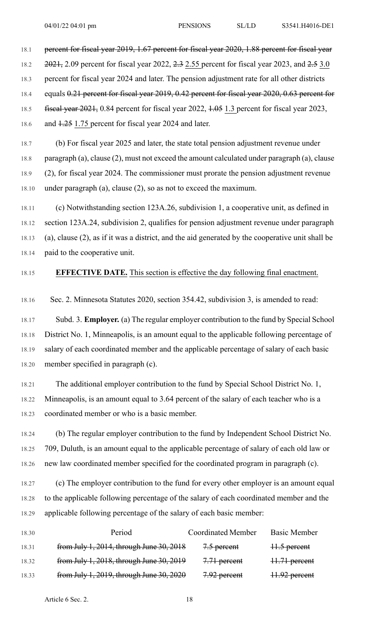18.1 percent for fiscal year 2019, 1.67 percent for fiscal year 2020, 1.88 percent for fiscal year

18.2 2021, 2.09 percent for fiscal year 2022, 2.3 2.55 percent for fiscal year 2023, and 2.5 3.0

18.3 percent for fiscal year 2024 and later. The pension adjustment rate for all other districts

18.4 equals 0.21 percent for fiscal year 2019, 0.42 percent for fiscal year 2020, 0.63 percent for

18.5 fiscal year 2021, 0.84 percent for fiscal year 2022, 1.05 1.3 percent for fiscal year 2023,

18.6 and 1.25 1.75 percent for fiscal year 2024 and later.

18.7 (b) For fiscal year 2025 and later, the state total pension adjustment revenue under 18.8 paragraph (a), clause (2), must not exceed the amount calculated under paragraph (a), clause 18.9 (2), for fiscal year 2024. The commissioner must prorate the pension adjustment revenue 18.10 under paragraph (a), clause (2), so as not to exceed the maximum.

18.11 (c) Notwithstanding section 123A.26, subdivision 1, a cooperative unit, as defined in 18.12 section 123A.24, subdivision 2, qualifies for pension adjustment revenue under paragraph 18.13 (a), clause (2), as if it was a district, and the aid generated by the cooperative unit shall be 18.14 paid to the cooperative unit.

## 18.15 **EFFECTIVE DATE.** This section is effective the day following final enactment.

18.16 Sec. 2. Minnesota Statutes 2020, section 354.42, subdivision 3, is amended to read:

18.17 Subd. 3. **Employer.** (a) The regular employer contribution to the fund by Special School 18.18 District No. 1, Minneapolis, is an amount equal to the applicable following percentage of 18.19 salary of each coordinated member and the applicable percentage of salary of each basic 18.20 member specified in paragraph (c).

18.21 The additional employer contribution to the fund by Special School District No. 1, 18.22 Minneapolis, is an amount equal to 3.64 percent of the salary of each teacher who is a 18.23 coordinated member or who is a basic member.

18.24 (b) The regular employer contribution to the fund by Independent School District No. 18.25 709, Duluth, is an amount equal to the applicable percentage of salary of each old law or 18.26 new law coordinated member specified for the coordinated program in paragraph (c).

18.27 (c) The employer contribution to the fund for every other employer is an amount equal 18.28 to the applicable following percentage of the salary of each coordinated member and the 18.29 applicable following percentage of the salary of each basic member:

| 18.30 | Period                                   | <b>Coordinated Member</b> | <b>Basic Member</b> |
|-------|------------------------------------------|---------------------------|---------------------|
| 18.31 | from July 1, 2014, through June 30, 2018 | 7.5 percent               | 11.5 percent        |
| 18.32 | from July 1, 2018, through June 30, 2019 | 7.71 percent              | 11.71 percent       |
| 18.33 | from July 1, 2019, through June 30, 2020 | 7.92 percent              | 11.92 percent       |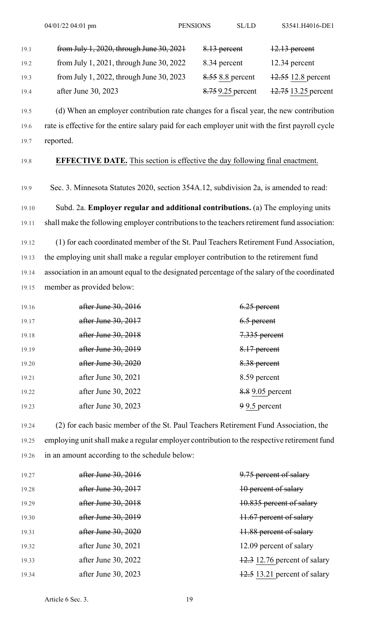| 19.1 | from July 1, 2020, through June 30, 2021   | 8.13 percent      | $12.13$ percent     |
|------|--------------------------------------------|-------------------|---------------------|
| 19.2 | from July 1, 2021, through June $30, 2022$ | 8.34 percent      | $12.34$ percent     |
| 19.3 | from July 1, 2022, through June $30, 2023$ | 8.55 8.8 percent  | 12.55 12.8 percent  |
| 19.4 | after June 30, 2023                        | 8.75 9.25 percent | 12.75 13.25 percent |

19.5 (d) When an employer contribution rate changes for a fiscal year, the new contribution 19.6 rate is effective for the entire salary paid for each employer unit with the first payroll cycle 19.7 reported.

#### 19.8 **EFFECTIVE DATE.** This section is effective the day following final enactment.

19.9 Sec. 3. Minnesota Statutes 2020, section 354A.12, subdivision 2a, is amended to read:

19.10 Subd. 2a. **Employer regular and additional contributions.** (a) The employing units 19.11 shall make the following employer contributions to the teachers retirement fund association:

19.12 (1) for each coordinated member of the St. Paul Teachers Retirement Fund Association, 19.13 the employing unit shall make a regular employer contribution to the retirement fund 19.14 association in an amount equal to the designated percentage of the salary of the coordinated 19.15 member as provided below:

| 19.16 | after June $30, 2016$ | $6.25$ percent   |
|-------|-----------------------|------------------|
| 19.17 | after June 30, 2017   | $6.5$ percent    |
| 19.18 | after June 30, 2018   | 7.335 percent    |
| 19.19 | after June 30, 2019   | 8.17 percent     |
| 19.20 | after June 30, 2020   | 8.38 percent     |
| 19.21 | after June 30, 2021   | 8.59 percent     |
| 19.22 | after June 30, 2022   | 8.8 9.05 percent |
| 19.23 | after June 30, 2023   | 99.5 percent     |
|       |                       |                  |

19.24 (2) for each basic member of the St. Paul Teachers Retirement Fund Association, the 19.25 employing unitshall make a regular employer contribution to the respective retirement fund 19.26 in an amount according to the schedule below:

| 19.27 | after June 30, 2016 | 9.75 percent of salary                   |
|-------|---------------------|------------------------------------------|
| 19.28 | after June 30, 2017 | 10 percent of salary                     |
| 19.29 | after June 30, 2018 | 10.835 percent of salary                 |
| 19.30 | after June 30, 2019 | 11.67 percent of salary                  |
| 19.31 | after June 30, 2020 | 11.88 percent of salary                  |
| 19.32 | after June 30, 2021 | 12.09 percent of salary                  |
| 19.33 | after June 30, 2022 | $\frac{12.3}{2}$ 12.76 percent of salary |
| 19.34 | after June 30, 2023 | $\frac{12.5}{2}$ 13.21 percent of salary |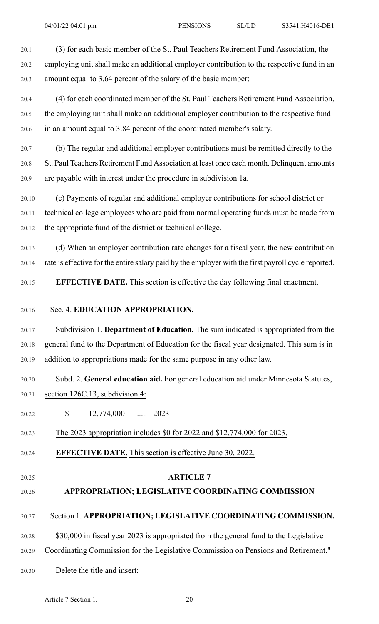20.1 (3) for each basic member of the St. Paul Teachers Retirement Fund Association, the 20.2 employing unit shall make an additional employer contribution to the respective fund in an 20.3 amount equal to 3.64 percent of the salary of the basic member;

20.4 (4) for each coordinated member of the St. Paul Teachers Retirement Fund Association, 20.5 the employing unit shall make an additional employer contribution to the respective fund 20.6 in an amount equal to 3.84 percent of the coordinated member's salary.

20.7 (b) The regular and additional employer contributions must be remitted directly to the 20.8 St. Paul Teachers Retirement Fund Association at least once each month. Delinquent amounts 20.9 are payable with interest under the procedure in subdivision 1a.

20.10 (c) Payments of regular and additional employer contributions for school district or 20.11 technical college employees who are paid from normal operating funds must be made from 20.12 the appropriate fund of the district or technical college.

20.13 (d) When an employer contribution rate changes for a fiscal year, the new contribution 20.14 rate is effective for the entire salary paid by the employer with the first payroll cycle reported.

20.15 **EFFECTIVE DATE.** This section is effective the day following final enactment.

### 20.16 Sec. 4. **EDUCATION APPROPRIATION.**

20.17 Subdivision 1. **Department of Education.** The sum indicated is appropriated from the 20.18 general fund to the Department of Education for the fiscal year designated. This sum is in 20.19 addition to appropriations made for the same purpose in any other law.

## 20.20 Subd. 2. **General education aid.** For general education aid under Minnesota Statutes,

- 20.21 section 126C.13, subdivision 4:
- 20.22 \$ 12,774,000 ..... 2023
- 20.23 The 2023 appropriation includes \$0 for 2022 and \$12,774,000 for 2023.
- 20.24 **EFFECTIVE DATE.** This section is effective June 30, 2022.
- 

#### 20.25 **ARTICLE 7**

### 20.26 **APPROPRIATION; LEGISLATIVE COORDINATING COMMISSION**

### 20.27 Section 1. **APPROPRIATION; LEGISLATIVE COORDINATING COMMISSION.**

20.28 \$30,000 in fiscal year 2023 is appropriated from the general fund to the Legislative

- 20.29 Coordinating Commission for the Legislative Commission on Pensions and Retirement."
- 20.30 Delete the title and insert: